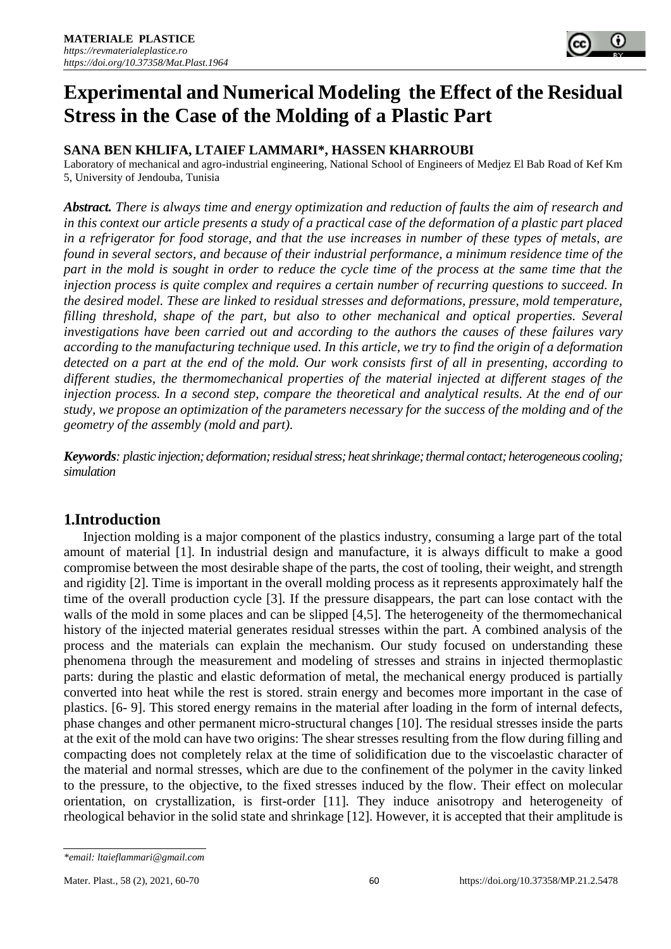

### **SANA BEN KHLIFA, LTAIEF LAMMARI\*, HASSEN KHARROUBI**

Laboratory of mechanical and agro-industrial engineering, National School of Engineers of Medjez El Bab Road of Kef Km 5, University of Jendouba, Tunisia

*Abstract. There is always time and energy optimization and reduction of faults the aim of research and in this context our article presents a study of a practical case of the deformation of a plastic part placed in a refrigerator for food storage, and that the use increases in number of these types of metals, are found in several sectors, and because of their industrial performance, a minimum residence time of the part in the mold is sought in order to reduce the cycle time of the process at the same time that the injection process is quite complex and requires a certain number of recurring questions to succeed. In the desired model. These are linked to residual stresses and deformations, pressure, mold temperature, filling threshold, shape of the part, but also to other mechanical and optical properties. Several investigations have been carried out and according to the authors the causes of these failures vary according to the manufacturing technique used. In this article, we try to find the origin of a deformation detected on a part at the end of the mold. Our work consists first of all in presenting, according to different studies, the thermomechanical properties of the material injected at different stages of the injection process. In a second step, compare the theoretical and analytical results. At the end of our study, we propose an optimization of the parameters necessary for the success of the molding and of the geometry of the assembly (mold and part).*

*Keywords: plastic injection; deformation; residual stress; heat shrinkage; thermal contact; heterogeneous cooling; simulation*

# **1.Introduction**

Injection molding is a major component of the plastics industry, consuming a large part of the total amount of material [1]. In industrial design and manufacture, it is always difficult to make a good compromise between the most desirable shape of the parts, the cost of tooling, their weight, and strength and rigidity [2]. Time is important in the overall molding process as it represents approximately half the time of the overall production cycle [3]. If the pressure disappears, the part can lose contact with the walls of the mold in some places and can be slipped [4,5]. The heterogeneity of the thermomechanical history of the injected material generates residual stresses within the part. A combined analysis of the process and the materials can explain the mechanism. Our study focused on understanding these phenomena through the measurement and modeling of stresses and strains in injected thermoplastic parts: during the plastic and elastic deformation of metal, the mechanical energy produced is partially converted into heat while the rest is stored. strain energy and becomes more important in the case of plastics. [6- 9]. This stored energy remains in the material after loading in the form of internal defects, phase changes and other permanent micro-structural changes [10]. The residual stresses inside the parts at the exit of the mold can have two origins: The shear stresses resulting from the flow during filling and compacting does not completely relax at the time of solidification due to the viscoelastic character of the material and normal stresses, which are due to the confinement of the polymer in the cavity linked to the pressure, to the objective, to the fixed stresses induced by the flow. Their effect on molecular orientation, on crystallization, is first-order [11]. They induce anisotropy and heterogeneity of rheological behavior in the solid state and shrinkage [12]. However, it is accepted that their amplitude is

*<sup>\*</sup>email: ltaieflammari@gmail.com*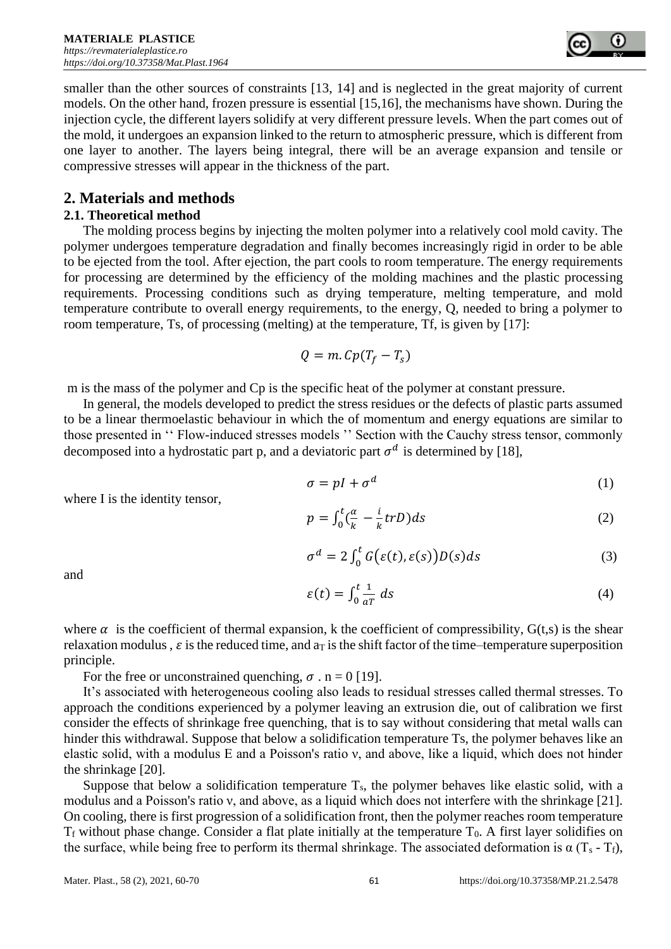

smaller than the other sources of constraints [13, 14] and is neglected in the great majority of current models. On the other hand, frozen pressure is essential [15,16], the mechanisms have shown. During the injection cycle, the different layers solidify at very different pressure levels. When the part comes out of the mold, it undergoes an expansion linked to the return to atmospheric pressure, which is different from one layer to another. The layers being integral, there will be an average expansion and tensile or compressive stresses will appear in the thickness of the part.

## **2. Materials and methods**

### **2.1. Theoretical method**

The molding process begins by injecting the molten polymer into a relatively cool mold cavity. The polymer undergoes temperature degradation and finally becomes increasingly rigid in order to be able to be ejected from the tool. After ejection, the part cools to room temperature. The energy requirements for processing are determined by the efficiency of the molding machines and the plastic processing requirements. Processing conditions such as drying temperature, melting temperature, and mold temperature contribute to overall energy requirements, to the energy, Q, needed to bring a polymer to room temperature, Ts, of processing (melting) at the temperature, Tf, is given by [17]:

$$
Q = m \cdot Cp(T_f - T_s)
$$

m is the mass of the polymer and Cp is the specific heat of the polymer at constant pressure.

In general, the models developed to predict the stress residues or the defects of plastic parts assumed to be a linear thermoelastic behaviour in which the of momentum and energy equations are similar to those presented in '' Flow-induced stresses models '' Section with the Cauchy stress tensor, commonly decomposed into a hydrostatic part p, and a deviatoric part  $\sigma^d$  is determined by [18],

$$
\sigma = pI + \sigma^d \tag{1}
$$

where I is the identity tensor,

$$
p = \int_0^t \left(\frac{\alpha}{k} - \frac{i}{k} \, tr \, D\right) \, ds \tag{2}
$$

$$
\sigma^d = 2 \int_0^t G(\varepsilon(t), \varepsilon(s)) D(s) ds \tag{3}
$$

and

$$
\varepsilon(t) = \int_0^t \frac{1}{a^T} \, ds \tag{4}
$$

where  $\alpha$  is the coefficient of thermal expansion, k the coefficient of compressibility,  $G(t,s)$  is the shear relaxation modulus,  $\varepsilon$  is the reduced time, and a<sub>T</sub> is the shift factor of the time–temperature superposition principle.

For the free or unconstrained quenching,  $\sigma$  . n = 0 [19].

It's associated with heterogeneous cooling also leads to residual stresses called thermal stresses. To approach the conditions experienced by a polymer leaving an extrusion die, out of calibration we first consider the effects of shrinkage free quenching, that is to say without considering that metal walls can hinder this withdrawal. Suppose that below a solidification temperature Ts, the polymer behaves like an elastic solid, with a modulus E and a Poisson's ratio ν, and above, like a liquid, which does not hinder the shrinkage [20].

Suppose that below a solidification temperature  $T_s$ , the polymer behaves like elastic solid, with a modulus and a Poisson's ratio ν, and above, as a liquid which does not interfere with the shrinkage [21]. On cooling, there is first progression of a solidification front, then the polymer reaches room temperature  $T_f$  without phase change. Consider a flat plate initially at the temperature  $T_0$ . A first layer solidifies on the surface, while being free to perform its thermal shrinkage. The associated deformation is  $\alpha$  (T<sub>s</sub> - T<sub>f</sub>),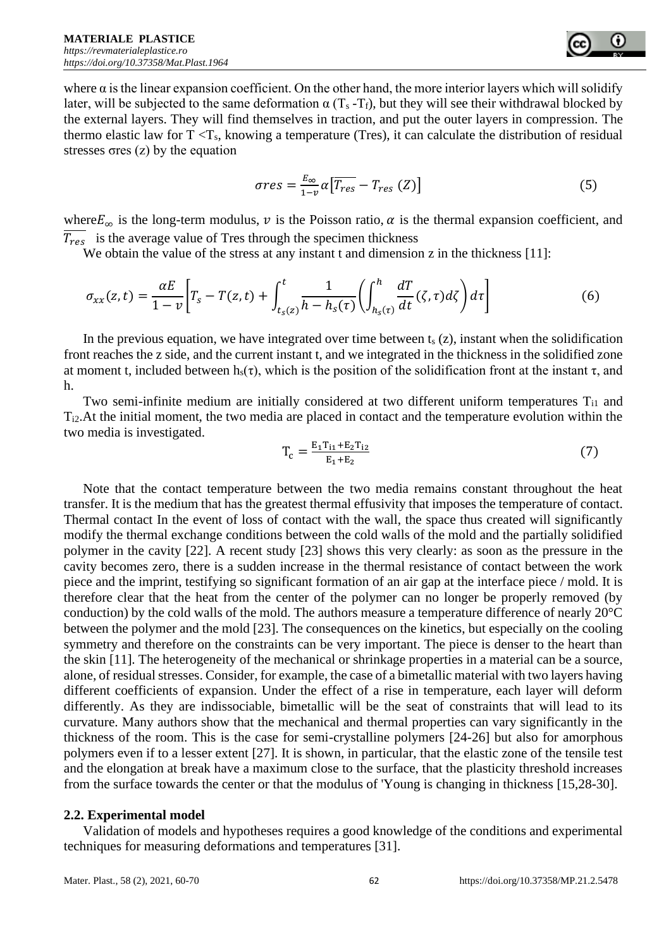

where  $\alpha$  is the linear expansion coefficient. On the other hand, the more interior layers which will solidify later, will be subjected to the same deformation  $\alpha$  (T<sub>s</sub> -T<sub>f</sub>), but they will see their withdrawal blocked by the external layers. They will find themselves in traction, and put the outer layers in compression. The thermo elastic law for  $T < T_s$ , knowing a temperature (Tres), it can calculate the distribution of residual stresses σres (z) by the equation

$$
\sigma res = \frac{E_{\infty}}{1-v} \alpha \left[ \overline{T_{res}} - T_{res} (Z) \right] \tag{5}
$$

where  $E_{\infty}$  is the long-term modulus,  $\nu$  is the Poisson ratio,  $\alpha$  is the thermal expansion coefficient, and  $\overline{T_{res}}$  is the average value of Tres through the specimen thickness

We obtain the value of the stress at any instant t and dimension z in the thickness [11]:

$$
\sigma_{xx}(z,t) = \frac{\alpha E}{1-v} \bigg[ T_s - T(z,t) + \int_{t_s(z)}^t \frac{1}{h - h_s(\tau)} \bigg( \int_{h_s(\tau)}^h \frac{dT}{dt}(\zeta,\tau) d\zeta \bigg) d\tau \bigg] \tag{6}
$$

In the previous equation, we have integrated over time between  $t_s(z)$ , instant when the solidification front reaches the z side, and the current instant t, and we integrated in the thickness in the solidified zone at moment t, included between h<sub>s</sub>(τ), which is the position of the solidification front at the instant τ, and h.

Two semi-infinite medium are initially considered at two different uniform temperatures T<sub>il</sub> and Ti2.At the initial moment, the two media are placed in contact and the temperature evolution within the two media is investigated.

$$
T_c = \frac{E_1 T_{11} + E_2 T_{12}}{E_1 + E_2} \tag{7}
$$

Note that the contact temperature between the two media remains constant throughout the heat transfer. It is the medium that has the greatest thermal effusivity that imposes the temperature of contact. Thermal contact In the event of loss of contact with the wall, the space thus created will significantly modify the thermal exchange conditions between the cold walls of the mold and the partially solidified polymer in the cavity [22]. A recent study [23] shows this very clearly: as soon as the pressure in the cavity becomes zero, there is a sudden increase in the thermal resistance of contact between the work piece and the imprint, testifying so significant formation of an air gap at the interface piece / mold. It is therefore clear that the heat from the center of the polymer can no longer be properly removed (by conduction) by the cold walls of the mold. The authors measure a temperature difference of nearly  $20^{\circ}$ C between the polymer and the mold [23]. The consequences on the kinetics, but especially on the cooling symmetry and therefore on the constraints can be very important. The piece is denser to the heart than the skin [11]. The heterogeneity of the mechanical or shrinkage properties in a material can be a source, alone, of residual stresses. Consider, for example, the case of a bimetallic material with two layers having different coefficients of expansion. Under the effect of a rise in temperature, each layer will deform differently. As they are indissociable, bimetallic will be the seat of constraints that will lead to its curvature. Many authors show that the mechanical and thermal properties can vary significantly in the thickness of the room. This is the case for semi-crystalline polymers [24-26] but also for amorphous polymers even if to a lesser extent [27]. It is shown, in particular, that the elastic zone of the tensile test and the elongation at break have a maximum close to the surface, that the plasticity threshold increases from the surface towards the center or that the modulus of 'Young is changing in thickness [15,28-30].

#### **2.2. Experimental model**

Validation of models and hypotheses requires a good knowledge of the conditions and experimental techniques for measuring deformations and temperatures [31].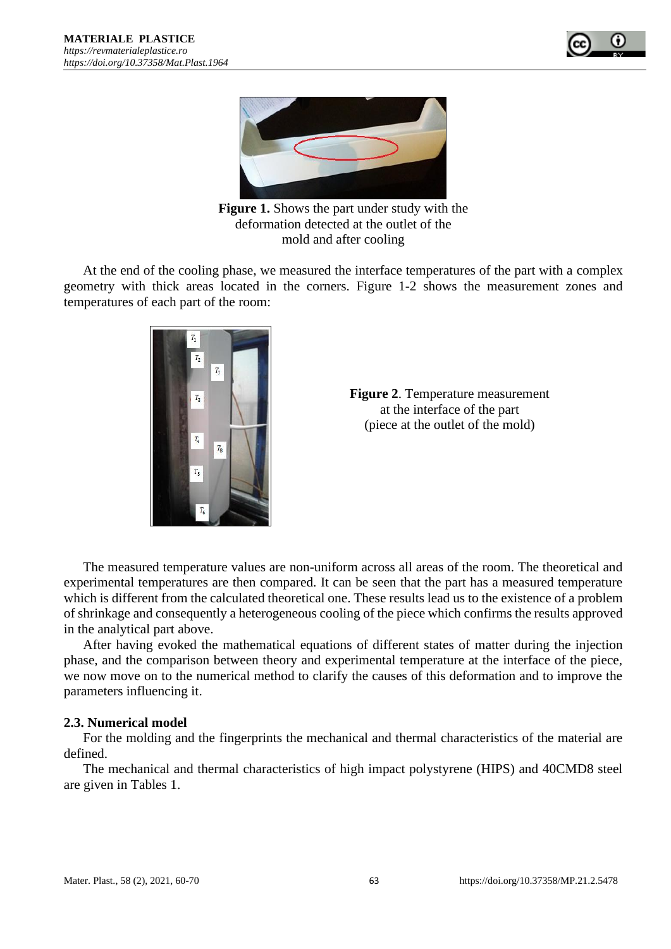



**Figure 1.** Shows the part under study with the deformation detected at the outlet of the mold and after cooling

At the end of the cooling phase, we measured the interface temperatures of the part with a complex geometry with thick areas located in the corners. Figure 1-2 shows the measurement zones and temperatures of each part of the room:



**Figure 2**. Temperature measurement at the interface of the part (piece at the outlet of the mold)

The measured temperature values are non-uniform across all areas of the room. The theoretical and experimental temperatures are then compared. It can be seen that the part has a measured temperature which is different from the calculated theoretical one. These results lead us to the existence of a problem of shrinkage and consequently a heterogeneous cooling of the piece which confirms the results approved in the analytical part above.

After having evoked the mathematical equations of different states of matter during the injection phase, and the comparison between theory and experimental temperature at the interface of the piece, we now move on to the numerical method to clarify the causes of this deformation and to improve the parameters influencing it.

### **2.3. Numerical model**

For the molding and the fingerprints the mechanical and thermal characteristics of the material are defined.

The mechanical and thermal characteristics of high impact polystyrene (HIPS) and 40CMD8 steel are given in Tables 1.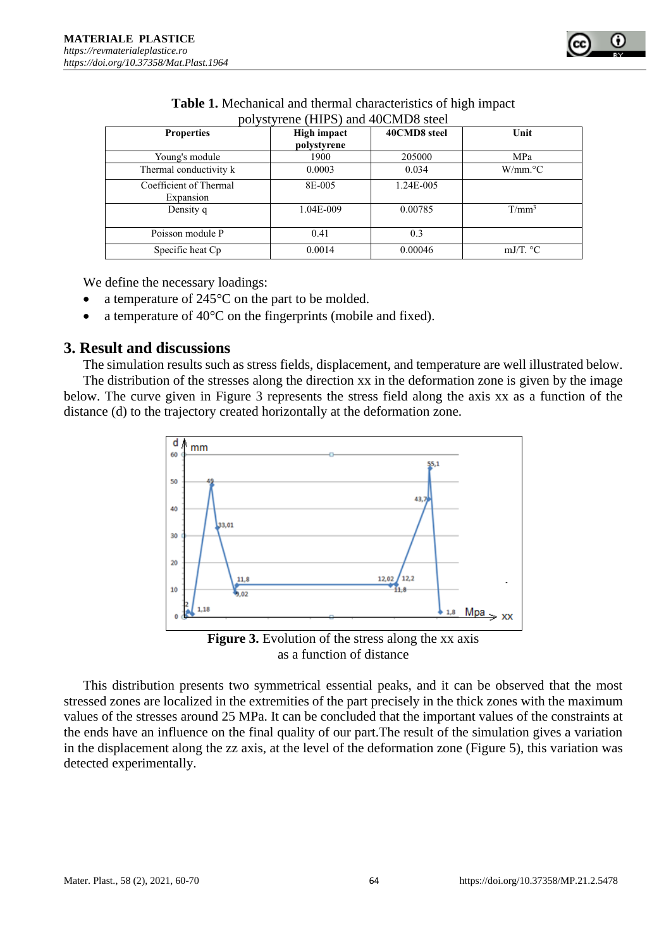

| $1001$ vstyrelie (THE S) and $40$ CMD $\sigma$ steel |             |              |                         |  |  |  |  |  |
|------------------------------------------------------|-------------|--------------|-------------------------|--|--|--|--|--|
| <b>Properties</b>                                    | High impact | 40CMD8 steel | Unit                    |  |  |  |  |  |
|                                                      | polystyrene |              |                         |  |  |  |  |  |
| Young's module                                       | 1900        | 205000       | MPa                     |  |  |  |  |  |
| Thermal conductivity k                               | 0.0003      | 0.034        | $W/mm$ <sup>o</sup> $C$ |  |  |  |  |  |
| Coefficient of Thermal<br>Expansion                  | 8E-005      | 1.24E-005    |                         |  |  |  |  |  |
| Density q                                            | 1.04E-009   | 0.00785      | $T/mm^3$                |  |  |  |  |  |
| Poisson module P                                     | 0.41        | 0.3          |                         |  |  |  |  |  |
| Specific heat Cp                                     | 0.0014      | 0.00046      | mJ/T. $\degree$ C       |  |  |  |  |  |

| Table 1. Mechanical and thermal characteristics of high impact |  |
|----------------------------------------------------------------|--|
| polystyrene (HIPS) and 40CMD8 steel                            |  |

We define the necessary loadings:

- a temperature of 245<sup>o</sup>C on the part to be molded.
- a temperature of  $40^{\circ}$ C on the fingerprints (mobile and fixed).

### **3. Result and discussions**

The simulation results such as stress fields, displacement, and temperature are well illustrated below. The distribution of the stresses along the direction xx in the deformation zone is given by the image below. The curve given in Figure 3 represents the stress field along the axis xx as a function of the distance (d) to the trajectory created horizontally at the deformation zone.



**Figure 3.** Evolution of the stress along the xx axis as a function of distance

This distribution presents two symmetrical essential peaks, and it can be observed that the most stressed zones are localized in the extremities of the part precisely in the thick zones with the maximum values of the stresses around 25 MPa. It can be concluded that the important values of the constraints at the ends have an influence on the final quality of our part.The result of the simulation gives a variation in the displacement along the zz axis, at the level of the deformation zone (Figure 5), this variation was detected experimentally.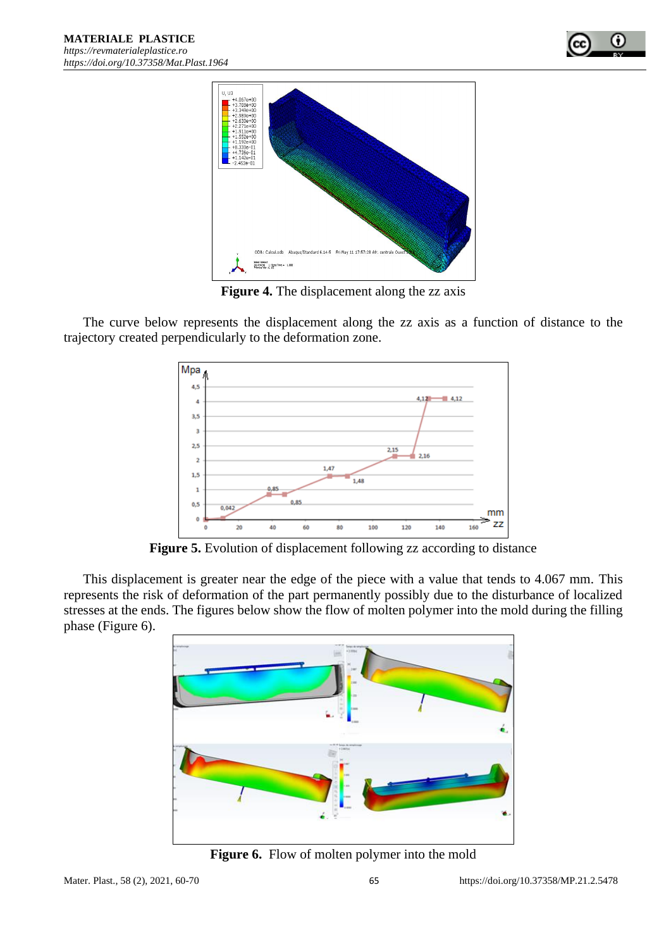



**Figure 4.** The displacement along the zz axis

The curve below represents the displacement along the zz axis as a function of distance to the trajectory created perpendicularly to the deformation zone.



Figure 5. Evolution of displacement following zz according to distance

This displacement is greater near the edge of the piece with a value that tends to 4.067 mm. This represents the risk of deformation of the part permanently possibly due to the disturbance of localized stresses at the ends. The figures below show the flow of molten polymer into the mold during the filling phase (Figure 6).



**Figure 6.** Flow of molten polymer into the mold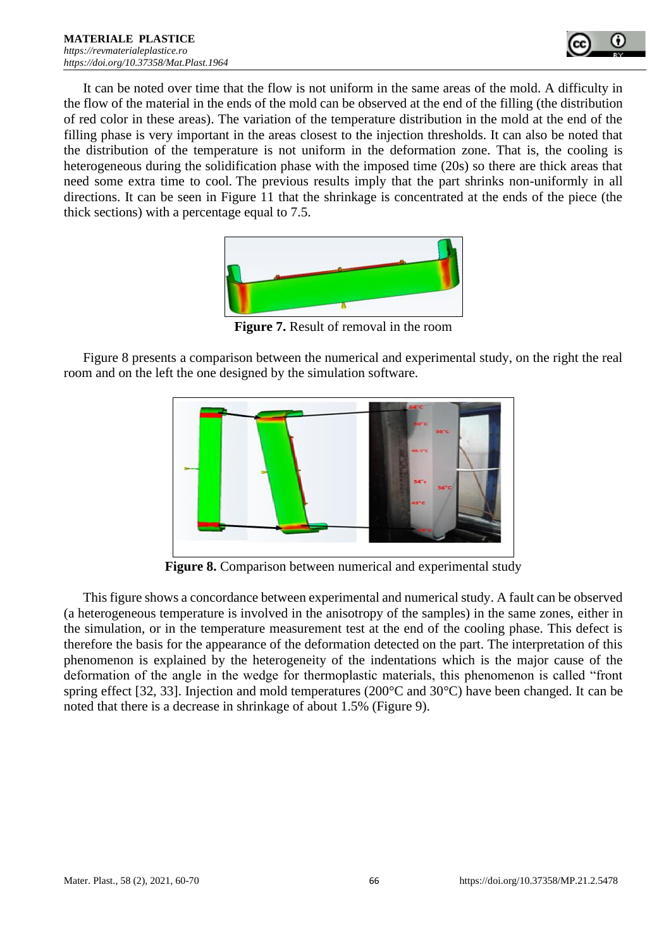

It can be noted over time that the flow is not uniform in the same areas of the mold. A difficulty in the flow of the material in the ends of the mold can be observed at the end of the filling (the distribution of red color in these areas). The variation of the temperature distribution in the mold at the end of the filling phase is very important in the areas closest to the injection thresholds. It can also be noted that the distribution of the temperature is not uniform in the deformation zone. That is, the cooling is heterogeneous during the solidification phase with the imposed time (20s) so there are thick areas that need some extra time to cool. The previous results imply that the part shrinks non-uniformly in all directions. It can be seen in Figure 11 that the shrinkage is concentrated at the ends of the piece (the thick sections) with a percentage equal to 7.5.



**Figure 7.** Result of removal in the room

Figure 8 presents a comparison between the numerical and experimental study, on the right the real room and on the left the one designed by the simulation software.



**Figure 8.** Comparison between numerical and experimental study

This figure shows a concordance between experimental and numerical study. A fault can be observed (a heterogeneous temperature is involved in the anisotropy of the samples) in the same zones, either in the simulation, or in the temperature measurement test at the end of the cooling phase. This defect is therefore the basis for the appearance of the deformation detected on the part. The interpretation of this phenomenon is explained by the heterogeneity of the indentations which is the major cause of the deformation of the angle in the wedge for thermoplastic materials, this phenomenon is called "front spring effect [32, 33]. Injection and mold temperatures (200°C and 30°C) have been changed. It can be noted that there is a decrease in shrinkage of about 1.5% (Figure 9).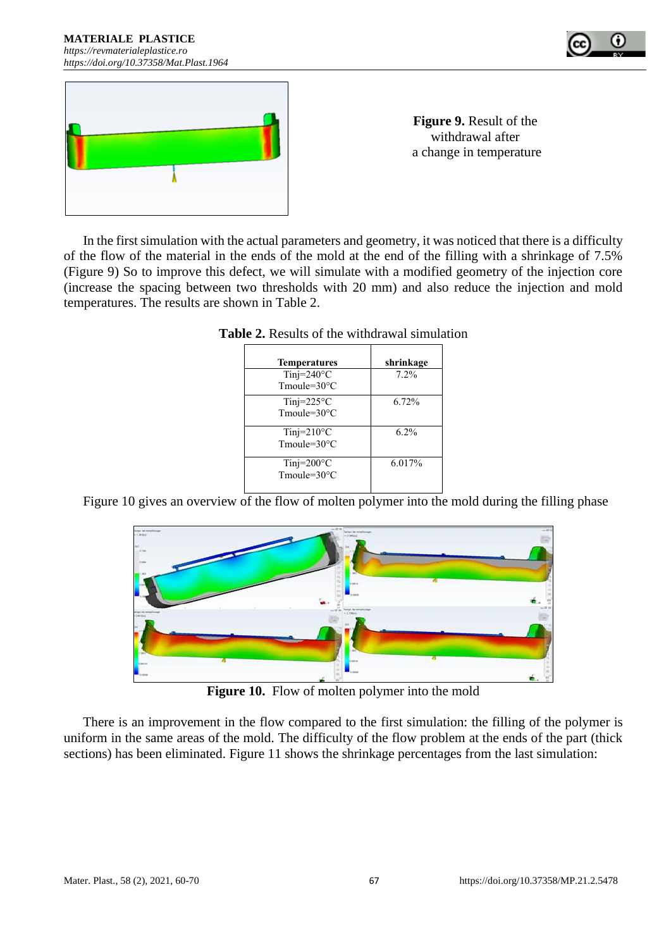



**Figure 9.** Result of the withdrawal after a change in temperature

In the first simulation with the actual parameters and geometry, it was noticed that there is a difficulty of the flow of the material in the ends of the mold at the end of the filling with a shrinkage of 7.5% (Figure 9) So to improve this defect, we will simulate with a modified geometry of the injection core (increase the spacing between two thresholds with 20 mm) and also reduce the injection and mold temperatures. The results are shown in Table 2.

| <b>Temperatures</b>                                | shrinkage |
|----------------------------------------------------|-----------|
| Tinj= $240^{\circ}$ C<br>Tmoule= $30^{\circ}$ C    | 7.2%      |
| Tinj= $225^{\circ}$ C<br>Tmoule= $30^{\circ}$ C    | 6.72%     |
| Tinj= $210^{\circ}$ C<br>Tmoule= $30^{\circ}$ C    | 6.2%      |
| Tinj= $200^{\circ}$ C<br>$T$ moule= $30^{\circ}$ C | 6.017%    |

| <b>Table 2.</b> Results of the withdrawal simulation |  |  |  |
|------------------------------------------------------|--|--|--|
|------------------------------------------------------|--|--|--|

Figure 10 gives an overview of the flow of molten polymer into the mold during the filling phase



Figure 10. Flow of molten polymer into the mold

There is an improvement in the flow compared to the first simulation: the filling of the polymer is uniform in the same areas of the mold. The difficulty of the flow problem at the ends of the part (thick sections) has been eliminated. Figure 11 shows the shrinkage percentages from the last simulation: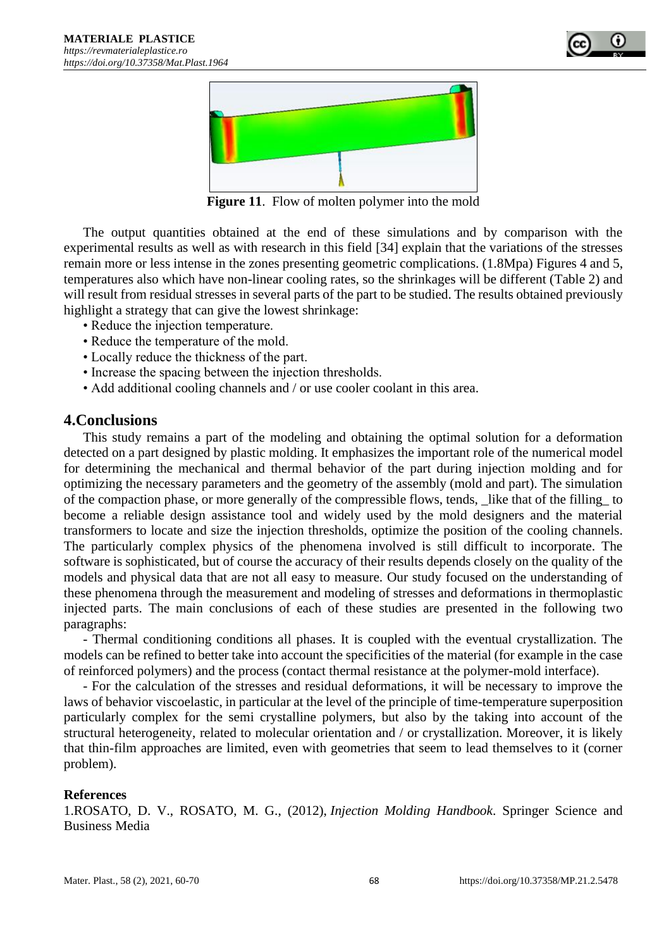



**Figure 11**. Flow of molten polymer into the mold

The output quantities obtained at the end of these simulations and by comparison with the experimental results as well as with research in this field [34] explain that the variations of the stresses remain more or less intense in the zones presenting geometric complications. (1.8Mpa) Figures 4 and 5, temperatures also which have non-linear cooling rates, so the shrinkages will be different (Table 2) and will result from residual stresses in several parts of the part to be studied. The results obtained previously highlight a strategy that can give the lowest shrinkage:

- Reduce the injection temperature.
- Reduce the temperature of the mold.
- Locally reduce the thickness of the part.
- Increase the spacing between the injection thresholds.
- Add additional cooling channels and / or use cooler coolant in this area.

### **4.Conclusions**

This study remains a part of the modeling and obtaining the optimal solution for a deformation detected on a part designed by plastic molding. It emphasizes the important role of the numerical model for determining the mechanical and thermal behavior of the part during injection molding and for optimizing the necessary parameters and the geometry of the assembly (mold and part). The simulation of the compaction phase, or more generally of the compressible flows, tends, like that of the filling to become a reliable design assistance tool and widely used by the mold designers and the material transformers to locate and size the injection thresholds, optimize the position of the cooling channels. The particularly complex physics of the phenomena involved is still difficult to incorporate. The software is sophisticated, but of course the accuracy of their results depends closely on the quality of the models and physical data that are not all easy to measure. Our study focused on the understanding of these phenomena through the measurement and modeling of stresses and deformations in thermoplastic injected parts. The main conclusions of each of these studies are presented in the following two paragraphs:

- Thermal conditioning conditions all phases. It is coupled with the eventual crystallization. The models can be refined to better take into account the specificities of the material (for example in the case of reinforced polymers) and the process (contact thermal resistance at the polymer-mold interface).

- For the calculation of the stresses and residual deformations, it will be necessary to improve the laws of behavior viscoelastic, in particular at the level of the principle of time-temperature superposition particularly complex for the semi crystalline polymers, but also by the taking into account of the structural heterogeneity, related to molecular orientation and / or crystallization. Moreover, it is likely that thin-film approaches are limited, even with geometries that seem to lead themselves to it (corner problem).

### **References**

1.ROSATO, D. V., ROSATO, M. G., (2012), *Injection Molding Handbook*. Springer Science and Business Media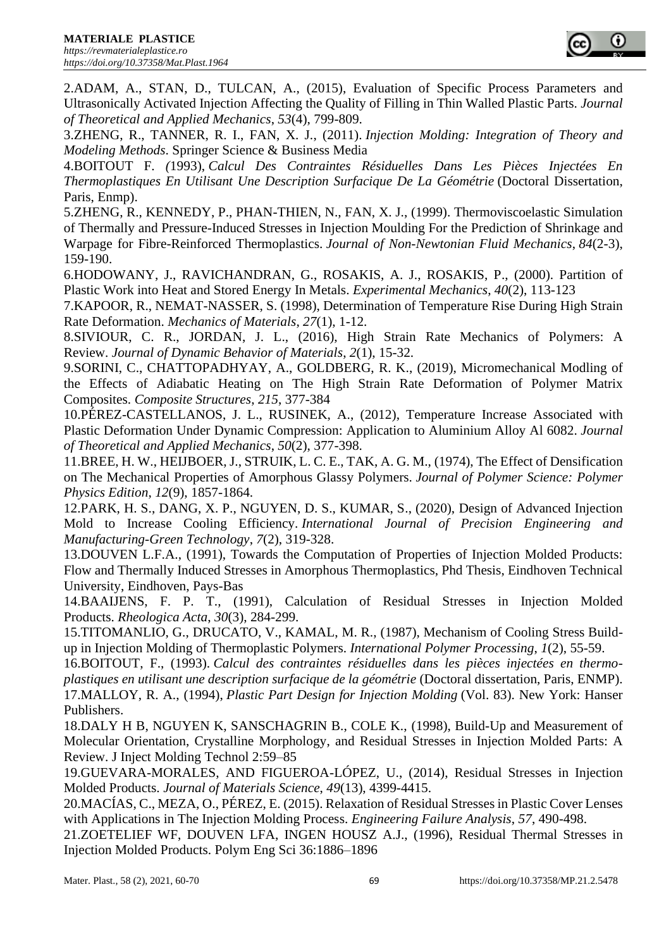2.ADAM, A., STAN, D., TULCAN, A., (2015), Evaluation of Specific Process Parameters and Ultrasonically Activated Injection Affecting the Quality of Filling in Thin Walled Plastic Parts. *Journal of Theoretical and Applied Mechanics*, *53*(4), 799-809.

3.ZHENG, R., TANNER, R. I., FAN, X. J., (2011). *Injection Molding: Integration of Theory and Modeling Methods*. Springer Science & Business Media

4.BOITOUT F. *(*1993), *Calcul Des Contraintes Résiduelles Dans Les Pièces Injectées En Thermoplastiques En Utilisant Une Description Surfacique De La Géométrie* (Doctoral Dissertation, Paris, Enmp).

5.ZHENG, R., KENNEDY, P., PHAN-THIEN, N., FAN, X. J., (1999). Thermoviscoelastic Simulation of Thermally and Pressure-Induced Stresses in Injection Moulding For the Prediction of Shrinkage and Warpage for Fibre-Reinforced Thermoplastics. *Journal of Non-Newtonian Fluid Mechanics*, *84*(2-3), 159-190.

6.HODOWANY, J., RAVICHANDRAN, G., ROSAKIS, A. J., ROSAKIS, P., (2000). Partition of Plastic Work into Heat and Stored Energy In Metals. *Experimental Mechanics*, *40*(2), 113-123

7.KAPOOR, R., NEMAT-NASSER, S. (1998), Determination of Temperature Rise During High Strain Rate Deformation. *Mechanics of Materials*, *27*(1), 1-12.

8.SIVIOUR, C. R., JORDAN, J. L., (2016), High Strain Rate Mechanics of Polymers: A Review. *Journal of Dynamic Behavior of Materials*, *2*(1), 15-32.

9.SORINI, C., CHATTOPADHYAY, A., GOLDBERG, R. K., (2019), Micromechanical Modling of the Effects of Adiabatic Heating on The High Strain Rate Deformation of Polymer Matrix Composites. *Composite Structures*, *215*, 377-384

10.PÉREZ-CASTELLANOS, J. L., RUSINEK, A., (2012), Temperature Increase Associated with Plastic Deformation Under Dynamic Compression: Application to Aluminium Alloy Al 6082. *Journal of Theoretical and Applied Mechanics*, *50*(2), 377-398.

11.BREE, H. W., HEIJBOER, J., STRUIK, L. C. E., TAK, A. G. M., (1974), The Effect of Densification on The Mechanical Properties of Amorphous Glassy Polymers. *Journal of Polymer Science: Polymer Physics Edition*, *12*(9), 1857-1864.

12.PARK, H. S., DANG, X. P., NGUYEN, D. S., KUMAR, S., (2020), Design of Advanced Injection Mold to Increase Cooling Efficiency. *International Journal of Precision Engineering and Manufacturing-Green Technology*, *7*(2), 319-328.

13.DOUVEN L.F.A., (1991), Towards the Computation of Properties of Injection Molded Products: Flow and Thermally Induced Stresses in Amorphous Thermoplastics, Phd Thesis, Eindhoven Technical University, Eindhoven, Pays-Bas

14.BAAIJENS, F. P. T., (1991), Calculation of Residual Stresses in Injection Molded Products. *Rheologica Acta*, *30*(3), 284-299.

15.TITOMANLIO, G., DRUCATO, V., KAMAL, M. R., (1987), Mechanism of Cooling Stress Buildup in Injection Molding of Thermoplastic Polymers. *International Polymer Processing*, *1*(2), 55-59.

16.BOITOUT, F., (1993). *Calcul des contraintes résiduelles dans les pièces injectées en thermoplastiques en utilisant une description surfacique de la géométrie* (Doctoral dissertation, Paris, ENMP).

17.MALLOY, R. A., (1994), *Plastic Part Design for Injection Molding* (Vol. 83). New York: Hanser Publishers.

18.DALY H B, NGUYEN K, SANSCHAGRIN B., COLE K., (1998), Build-Up and Measurement of Molecular Orientation, Crystalline Morphology, and Residual Stresses in Injection Molded Parts: A Review. J Inject Molding Technol 2:59–85

19.GUEVARA-MORALES, AND FIGUEROA-LÓPEZ, U., (2014), Residual Stresses in Injection Molded Products. *Journal of Materials Science*, *49*(13), 4399-4415.

20.MACÍAS, C., MEZA, O., PÉREZ, E. (2015). Relaxation of Residual Stresses in Plastic Cover Lenses with Applications in The Injection Molding Process. *Engineering Failure Analysis*, *57*, 490-498.

21.ZOETELIEF WF, DOUVEN LFA, INGEN HOUSZ A.J., (1996), Residual Thermal Stresses in Injection Molded Products. Polym Eng Sci 36:1886–1896